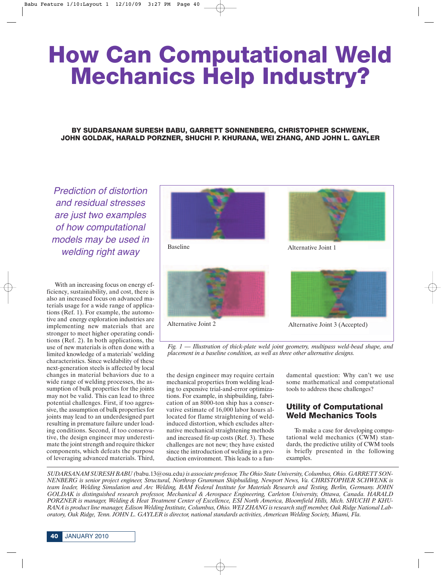# **How Can Computational Weld Mechanics Help Industry?**

## **BY SUDARSANAM SURESH BABU, GARRETT SONNENBERG, CHRISTOPHER SCHWENK, JOHN GOLDAK, HARALD PORZNER, SHUCHI P. KHURANA, WEI ZHANG, AND JOHN L. GAYLER**

Prediction of distortion and residual stresses are just two examples of how computational models may be used in welding right away

With an increasing focus on energy efficiency, sustainability, and cost, there is also an increased focus on advanced materials usage for a wide range of applications (Ref. 1). For example, the automotive and energy exploration industries are implementing new materials that are stronger to meet higher operating conditions (Ref. 2). In both applications, the use of new materials is often done with a limited knowledge of a materials' welding characteristics. Since weldability of these next-generation steels is affected by local changes in material behaviors due to a wide range of welding processes, the assumption of bulk properties for the joints may not be valid. This can lead to three potential challenges. First, if too aggressive, the assumption of bulk properties for joints may lead to an underdesigned part resulting in premature failure under loading conditions. Second, if too conservative, the design engineer may underestimate the joint strength and require thicker components, which defeats the purpose of leveraging advanced materials. Third,









Alternative Joint 2 Alternative Joint 3 (Accepted)

*Fig. 1 — Illustration of thick-plate weld joint geometry, multipass weld-bead shape, and placement in a baseline condition, as well as three other alternative designs.*

the design engineer may require certain mechanical properties from welding leading to expensive trial-and-error optimizations. For example, in shipbuilding, fabrication of an 8000-ton ship has a conservative estimate of 16,000 labor hours allocated for flame straightening of weldinduced distortion, which excludes alternative mechanical straightening methods and increased fit-up costs (Ref. 3). These challenges are not new; they have existed since the introduction of welding in a production environment. This leads to a fundamental question: Why can't we use some mathematical and computational tools to address these challenges?

# **Utility of Computational Weld Mechanics Tools**

To make a case for developing computational weld mechanics (CWM) standards, the predictive utility of CWM tools is briefly presented in the following examples.

*SUDARSANAM SURESH BABU (*babu.13@osu.edu*) is associate professor, The Ohio State University, Columbus, Ohio. GARRETT SON-NENBERG is senior project engineer, Structural, Northrop Grumman Shipbuilding, Newport News, Va. CHRISTOPHER SCHWENK is team leader, Welding Simulation and Arc Welding, BAM Federal Institute for Materials Research and Testing, Berlin, Germany. JOHN GOLDAK is distinguished research professor, Mechanical & Aerospace Engineering, Carleton University, Ottawa, Canada. HARALD PORZNER is manager, Welding & Heat Treatment Center of Excellence, ESI North America, Bloomfield Hills, Mich. SHUCHI P. KHU-RANA is product line manager, Edison Welding Institute, Columbus, Ohio. WEI ZHANG is research staff member, Oak Ridge National Laboratory, Oak Ridge, Tenn. JOHN L. GAYLER is director, national standards activities, American Welding Society, Miami, Fla.*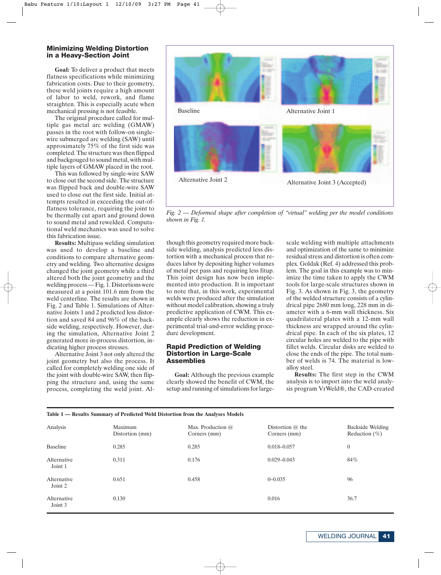#### **Minimizing Welding Distortion in a Heavy-Section Joint**

**Goal:** To deliver a product that meets flatness specifications while minimizing fabrication costs. Due to their geometry, these weld joints require a high amount of labor to weld, rework, and flame straighten. This is especially acute when mechanical pressing is not feasible.

The original procedure called for multiple gas metal arc welding (GMAW) passes in the root with follow-on singlewire submerged arc welding (SAW) until approximately 75% of the first side was completed. The structure was then flipped and backgouged to sound metal, with multiple layers of GMAW placed in the root.

This was followed by single-wire SAW to close out the second side. The structure was flipped back and double-wire SAW used to close out the first side. Initial attempts resulted in exceeding the out-offlatness tolerance, requiring the joint to be thermally cut apart and ground down to sound metal and rewelded. Computational weld mechanics was used to solve this fabrication issue.

**Results:** Multipass welding simulation was used to develop a baseline and conditions to compare alternative geometry and welding. Two alternative designs changed the joint geometry while a third altered both the joint geometry and the welding process — Fig. 1. Distortions were measured at a point 101.6 mm from the weld centerline. The results are shown in Fig. 2 and Table 1. Simulations of Alternative Joints 1 and 2 predicted less distortion and saved 84 and 96% of the backside welding, respectively. However, during the simulation, Alternative Joint 2 generated more in-process distortion, indicating higher process stresses.

Alternative Joint 3 not only altered the joint geometry but also the process. It called for completely welding one side of the joint with double-wire SAW, then flipping the structure and, using the same process, completing the weld joint. Al-

**Table 1 — Results Summary of Predicted Weld Distortion from the Analyses Models**



*Fig. 2 — Deformed shape after completion of "virtual" welding per the model conditions shown in Fig. 1.*

though this geometry required more backside welding, analysis predicted less distortion with a mechanical process that reduces labor by depositing higher volumes of metal per pass and requiring less fitup. This joint design has now been implemented into production. It is important to note that, in this work, experimental welds were produced after the simulation without model calibration, showing a truly predictive application of CWM. This example clearly shows the reduction in experimental trial-and-error welding procedure development.

#### **Rapid Prediction of Welding Distortion in Large-Scale Assemblies**

**Goal:** Although the previous example clearly showed the benefit of CWM, the setup and running of simulations for large-

scale welding with multiple attachments and optimization of the same to minimize residual stress and distortion is often complex. Goldak (Ref. 4) addressed this problem. The goal in this example was to minimize the time taken to apply the CWM tools for large-scale structures shown in Fig. 3. As shown in Fig. 3, the geometry of the welded structure consists of a cylindrical pipe 2680 mm long, 228 mm in diameter with a 6-mm wall thickness. Six quadrilateral plates with a 12-mm wall thickness are wrapped around the cylindrical pipe. In each of the six plates, 12 circular holes are welded to the pipe with fillet welds. Circular disks are welded to close the ends of the pipe. The total number of welds is 74. The material is lowalloy steel.

**Results:** The first step in the CWM analysis is to import into the weld analysis program VrWeld®, the CAD-created

| Analysis               | Maximum<br>Distortion (mm) | Max. Production $@$<br>Corners (mm) | Distortion $@$ the<br>Corners (mm) | Backside Welding<br>Reduction $(\%)$ |
|------------------------|----------------------------|-------------------------------------|------------------------------------|--------------------------------------|
| Baseline               | 0.285                      | 0.285                               | $0.018 - 0.057$                    | $\overline{0}$                       |
| Alternative<br>Joint 1 | 0.311                      | 0.176                               | $0.029 - 0.043$                    | 84%                                  |
| Alternative<br>Joint 2 | 0.651                      | 0.458                               | $0 - 0.035$                        | 96                                   |
| Alternative<br>Joint 3 | 0.130                      |                                     | 0.016                              | 36.7                                 |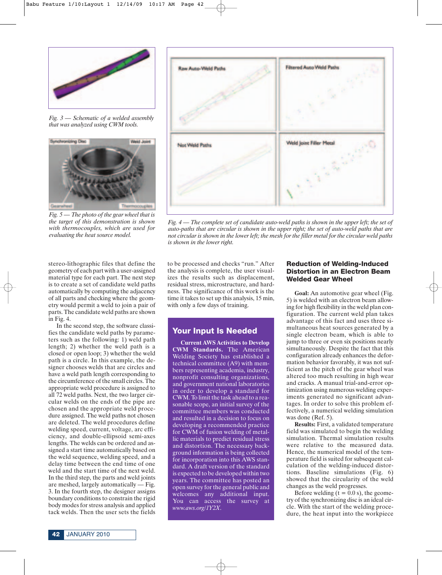

*Fig. 3 — Schematic of a welded assembly that was analyzed using CWM tools.*



*Fig. 5 — The photo of the gear wheel that is the target of this demonstration is shown with thermocouples, which are used for evaluating the heat source model.*

stereo-lithographic files that define the geometry of each part with a user-assigned material type for each part. The next step is to create a set of candidate weld paths automatically by computing the adjacency of all parts and checking where the geometry would permit a weld to join a pair of parts. The candidate weld paths are shown in Fig. 4.

In the second step, the software classifies the candidate weld paths by parameters such as the following: 1) weld path length; 2) whether the weld path is a closed or open loop; 3) whether the weld path is a circle. In this example, the designer chooses welds that are circles and have a weld path length corresponding to the circumference of the small circles. The appropriate weld procedure is assigned to all 72 weld paths. Next, the two larger circular welds on the ends of the pipe are chosen and the appropriate weld procedure assigned. The weld paths not chosen are deleted. The weld procedures define welding speed, current, voltage, arc efficiency, and double-ellipsoid semi-axes lengths. The welds can be ordered and assigned a start time automatically based on the weld sequence, welding speed, and a delay time between the end time of one weld and the start time of the next weld. In the third step, the parts and weld joints are meshed, largely automatically — Fig. 3. In the fourth step, the designer assigns boundary conditions to constrain the rigid body modes for stress analysis and applied tack welds. Then the user sets the fields



*Fig. 4 — The complete set of candidate auto-weld paths is shown in the upper left; the set of auto-paths that are circular is shown in the upper right; the set of auto-weld paths that are not circular is shown in the lower left; the mesh for the filler metal for the circular weld paths is shown in the lower right.*

to be processed and checks "run." After the analysis is complete, the user visualizes the results such as displacement, residual stress, microstructure, and hardness. The significance of this work is the time it takes to set up this analysis, 15 min, with only a few days of training.

## **Your Input Is Needed**

**Current AWS Activities to Develop CWM Standards.** The American Welding Society has established a technical committee (A9) with members representing academia, industry, nonprofit consulting organizations, and government national laboratories in order to develop a standard for CWM. To limit the task ahead to a reasonable scope, an initial survey of the committee members was conducted and resulted in a decision to focus on developing a recommended practice for CWM of fusion welding of metallic materials to predict residual stress and distortion. The necessary background information is being collected for incorporation into this AWS standard. A draft version of the standard is expected to be developed within two years. The committee has posted an open survey for the general public and welcomes any additional input. You can access the survey at *www.aws.org/1Y2X*.

### **Reduction of Welding-Induced Distortion in an Electron Beam Welded Gear Wheel**

**Goal:** An automotive gear wheel (Fig. 5) is welded with an electron beam allowing for high flexibility in the weld plan configuration. The current weld plan takes advantage of this fact and uses three simultaneous heat sources generated by a single electron beam, which is able to jump to three or even six positions nearly simultaneously. Despite the fact that this configuration already enhances the deformation behavior favorably, it was not sufficient as the pitch of the gear wheel was altered too much resulting in high wear and cracks. A manual trial-and-error optimization using numerous welding experiments generated no significant advantages. In order to solve this problem effectively, a numerical welding simulation was done (Ref. 5).

**Results:** First, a validated temperature field was simulated to begin the welding simulation. Thermal simulation results were relative to the measured data. Hence, the numerical model of the temperature field is suited for subsequent calculation of the welding-induced distortions. Baseline simulations (Fig. 6) showed that the circularity of the weld changes as the weld progresses.

Before welding  $(t = 0.0 s)$ , the geometry of the synchronizing disc is an ideal circle. With the start of the welding procedure, the heat input into the workpiece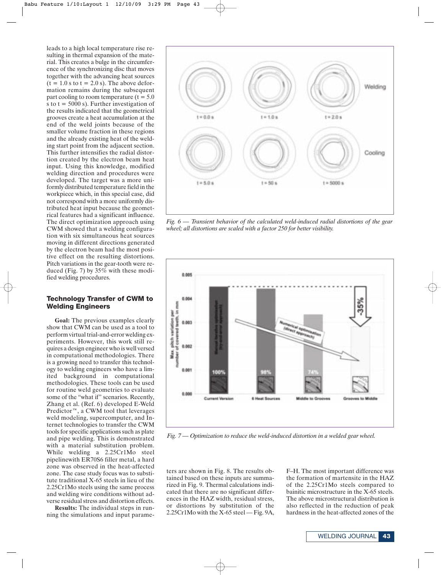leads to a high local temperature rise resulting in thermal expansion of the material. This creates a bulge in the circumference of the synchronizing disc that moves together with the advancing heat sources  $(t = 1.0 s)$  to  $t = 2.0 s$ . The above deformation remains during the subsequent part cooling to room temperature  $(t = 5.0)$ s to  $t = 5000$  s). Further investigation of the results indicated that the geometrical grooves create a heat accumulation at the end of the weld joints because of the smaller volume fraction in these regions and the already existing heat of the welding start point from the adjacent section. This further intensifies the radial distortion created by the electron beam heat input. Using this knowledge, modified welding direction and procedures were developed. The target was a more uniformly distributed temperature field in the workpiece which, in this special case, did not correspond with a more uniformly distributed heat input because the geometrical features had a significant influence. The direct optimization approach using CWM showed that a welding configuration with six simultaneous heat sources moving in different directions generated by the electron beam had the most positive effect on the resulting distortions. Pitch variations in the gear-tooth were reduced (Fig. 7) by 35% with these modified welding procedures.

#### **Technology Transfer of CWM to Welding Engineers**

**Goal:** The previous examples clearly show that CWM can be used as a tool to perform virtual trial-and-error welding experiments. However, this work still requires a design engineer who is well versed in computational methodologies. There is a growing need to transfer this technology to welding engineers who have a limited background in computational methodologies. These tools can be used for routine weld geometries to evaluate some of the "what if" scenarios. Recently, Zhang et al. (Ref. 6) developed E-Weld Predictor™, a CWM tool that leverages weld modeling, supercomputer, and Internet technologies to transfer the CWM tools for specific applications such as plate and pipe welding. This is demonstrated with a material substitution problem. While welding a 2.25Cr1Mo steel pipelinewith ER70S6 filler metal, a hard zone was observed in the heat-affected zone. The case study focus was to substitute traditional X-65 steels in lieu of the 2.25Cr1Mo steels using the same process and welding wire conditions without adverse residual stress and distortion effects.

**Results:** The individual steps in running the simulations and input parame-



*Fig. 6 — Transient behavior of the calculated weld-induced radial distortions of the gear wheel; all distortions are scaled with a factor 250 for better visibility.*



*Fig. 7 — Optimization to reduce the weld-induced distortion in a welded gear wheel.*

ters are shown in Fig. 8. The results obtained based on these inputs are summarized in Fig. 9. Thermal calculations indicated that there are no significant differences in the HAZ width, residual stress, or distortions by substitution of the 2.25Cr1Mo with the X-65 steel — Fig. 9A,

F–H. The most important difference was the formation of martensite in the HAZ of the 2.25Cr1Mo steels compared to bainitic microstructure in the X-65 steels. The above microstructural distribution is also reflected in the reduction of peak hardness in the heat-affected zones of the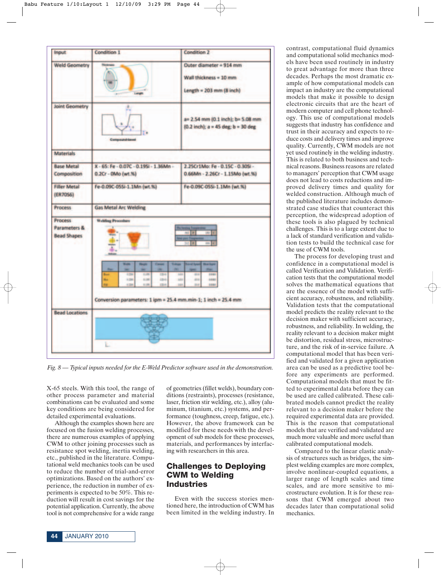

*Fig. 8 — Typical inputs needed for the E-Weld Predictor software used in the demonstration.*

X-65 steels. With this tool, the range of other process parameter and material combinations can be evaluated and some key conditions are being considered for detailed experimental evaluations.

Although the examples shown here are focused on the fusion welding processes, there are numerous examples of applying CWM to other joining processes such as resistance spot welding, inertia welding, etc., published in the literature. Computational weld mechanics tools can be used to reduce the number of trial-and-error optimizations. Based on the authors' experience, the reduction in number of experiments is expected to be 50%. This reduction will result in cost savings for the potential application. Currently, the above tool is not comprehensive for a wide range of geometries (fillet welds), boundary conditions (restraints), processes (resistance, laser, friction stir welding, etc.), alloy (aluminum, titanium, etc.) systems, and performance (toughness, creep, fatigue, etc.). However, the above framework can be modified for these needs with the development of sub models for these processes, materials, and performances by interfacing with researchers in this area.

# **Challenges to Deploying CWM to Welding Industries**

Even with the success stories mentioned here, the introduction of CWM has been limited in the welding industry. In contrast, computational fluid dynamics and computational solid mechanics models have been used routinely in industry to great advantage for more than three decades. Perhaps the most dramatic example of how computational models can impact an industry are the computational models that make it possible to design electronic circuits that are the heart of modern computer and cell phone technology. This use of computational models suggests that industry has confidence and trust in their accuracy and expects to reduce costs and delivery times and improve quality. Currently, CWM models are not yet used routinely in the welding industry. This is related to both business and technical reasons. Business reasons are related to managers' perception that CWM usage does not lead to costs reductions and improved delivery times and quality for welded construction. Although much of the published literature includes demonstrated case studies that counteract this perception, the widespread adoption of these tools is also plagued by technical challenges. This is to a large extent due to a lack of standard verification and validation tests to build the technical case for the use of CWM tools.

The process for developing trust and confidence in a computational model is called Verification and Validation. Verification tests that the computational model solves the mathematical equations that are the essence of the model with sufficient accuracy, robustness, and reliability. Validation tests that the computational model predicts the reality relevant to the decision maker with sufficient accuracy, robustness, and reliability. In welding, the reality relevant to a decision maker might be distortion, residual stress, microstructure, and the risk of in-service failure. A computational model that has been verified and validated for a given application area can be used as a predictive tool before any experiments are performed. Computational models that must be fitted to experimental data before they can be used are called calibrated. These calibrated models cannot predict the reality relevant to a decision maker before the required experimental data are provided. This is the reason that computational models that are verified and validated are much more valuable and more useful than calibrated computational models.

Compared to the linear elastic analysis of structures such as bridges, the simplest welding examples are more complex, involve nonlinear-coupled equations, a larger range of length scales and time scales, and are more sensitive to microstructure evolution. It is for these reasons that CWM emerged about two decades later than computational solid mechanics.